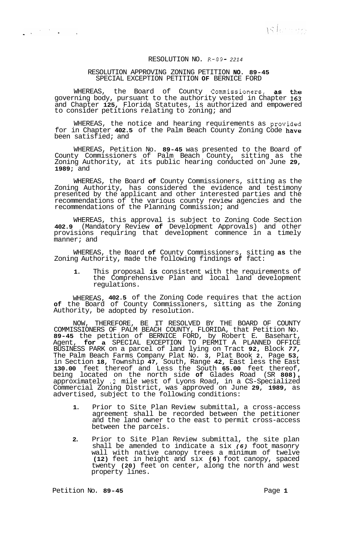## RESOLUTION NO. **R-89-** *<sup>2214</sup>*

## RESOLUTION APPROVING ZONING PETITION **NO. 89-45**  SPECIAL EXCEPTION PETITION **OF** BERNICE FORD

WHEREAS, the Board of County Commissioners, as the governing body, pursuant to the authority vested in Chapter **163**  and Chapter **125,** Florida Statutes, is authorized and empowered to consider petitions relating to zoning; and

WHEREAS, the notice and hearing requirements as provided for in Chapter **402.5** of the Palm Beach County Zoning Code have been satisfied; and

WHEREAS, Petition No. **89-45** was presented to the Board of County Commissioners of Palm Beach County, sitting as the Zoning Authority, at its public hearing conducted on June **29, 1989;** and

WHEREAS, the Board **of** County Commissioners, sitting as the Zoning Authority, has considered the evidence and testimony presented by the applicant and other interested parties and the recommendations of the various county review agencies and the recommendations of the Planning Commission; and

WHEREAS, this approval is subject to Zoning Code Section **402.9** (Mandatory Review **of** Development Approvals) and other provisions requiring that development commence in a timely manner; and

WHEREAS, the Board **of** County Commissioners, sitting **as** the Zoning Authority, made the following findings **of** fact:

**1.** This proposal **is** consistent with the requirements of the Comprehensive Plan and local land development regulations.

WHEREAS, **402.5** of the Zoning Code requires that the action **of** the Board of County Commissioners, sitting as the Zoning Authority, be adopted by resolution.

NOW, THEREFORE, BE IT RESOLVED BY THE BOARD OF COUNTY COMMISSIONERS OF PALM BEACH COUNTY, FLORIDA, that Petition No. **89-45** the petition of BERNICE FORD, by Robert E. Basehart, Agent, **for a** SPECIAL EXCEPTION TO PERMIT A PLANNED OFFICE BUSINESS PARK on a parcel of land lying on Tract **92,** Block *77,*  The Palm Beach Farms Company Plat No. **3,** Plat Book **2,** Page **53,**  in Section **18,** Township **47,** South, Range **42,** East less the East **130.00** feet thereof and Less the South **65.00** feet thereof, being located on the north side **of** Glades Road (SR **808)** , approximately **.2** mile west of Lyons Road, in a CS-Specialized Commercial Zoning District, was approved on June **29, 1989,** as advertised, subject to the following conditions:

- **1.** Prior to Site Plan Review submittal, a cross-access agreement shall be recorded between the petitioner and the land owner to the east to permit cross-access between the parcels.
- **2.** Prior to Site Plan Review submittal, the site plan shall be amended to indicate a six *(6)* foot masonry wall with native canopy trees a minimum of twelve **(12)** feet in height and six **(6)** foot canopy, spaced twenty **(20)** feet on center, along the north and west property lines.

Petition No. 89-45 **Page 1 Page 1** 

 $\label{eq:2.1} \frac{1}{\mathbf{w}^{(1)}}\left(\mathbf{y}^{(1)}\right)^{-1}\left(\mathbf{y}^{(1)}\right)^{-1}\left(\mathbf{y}^{(1)}\right)^{-1}\left(\mathbf{y}^{(1)}\right)^{-1}\left(\mathbf{y}^{(1)}\right)^{-1}\left(\mathbf{y}^{(1)}\right)^{-1}\left(\mathbf{y}^{(1)}\right)^{-1}\left(\mathbf{y}^{(1)}\right)^{-1}\left(\mathbf{y}^{(1)}\right)^{-1}\left(\mathbf{y}^{(1)}\right)^{-1}\left(\mathbf{y}^{(1)}\right)^{-1}\left(\mathbf{y}^{$